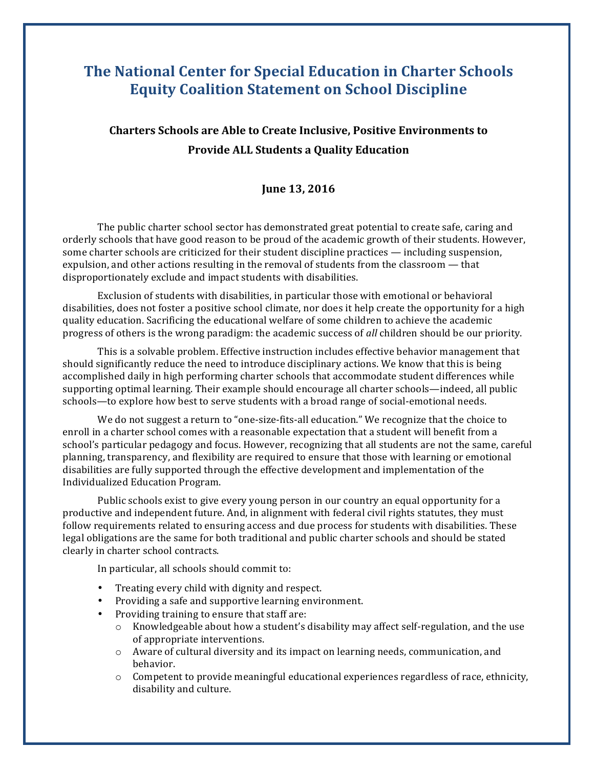## **The National Center for Special Education in Charter Schools Equity Coalition Statement on School Discipline**

## **Charters Schools are Able to Create Inclusive, Positive Environments to Provide ALL Students a Quality Education**

## **June 13, 2016**

The public charter school sector has demonstrated great potential to create safe, caring and orderly schools that have good reason to be proud of the academic growth of their students. However, some charter schools are criticized for their student discipline practices — including suspension, expulsion, and other actions resulting in the removal of students from the classroom — that disproportionately exclude and impact students with disabilities.

Exclusion of students with disabilities, in particular those with emotional or behavioral disabilities, does not foster a positive school climate, nor does it help create the opportunity for a high quality education. Sacrificing the educational welfare of some children to achieve the academic progress of others is the wrong paradigm: the academic success of *all* children should be our priority.

This is a solvable problem. Effective instruction includes effective behavior management that should significantly reduce the need to introduce disciplinary actions. We know that this is being accomplished daily in high performing charter schools that accommodate student differences while supporting optimal learning. Their example should encourage all charter schools—indeed, all public schools—to explore how best to serve students with a broad range of social-emotional needs.

We do not suggest a return to "one-size-fits-all education." We recognize that the choice to enroll in a charter school comes with a reasonable expectation that a student will benefit from a school's particular pedagogy and focus. However, recognizing that all students are not the same, careful planning, transparency, and flexibility are required to ensure that those with learning or emotional disabilities are fully supported through the effective development and implementation of the Individualized Education Program.

Public schools exist to give every young person in our country an equal opportunity for a productive and independent future. And, in alignment with federal civil rights statutes, they must follow requirements related to ensuring access and due process for students with disabilities. These legal obligations are the same for both traditional and public charter schools and should be stated clearly in charter school contracts.

In particular, all schools should commit to:

- Treating every child with dignity and respect.
- Providing a safe and supportive learning environment.
- Providing training to ensure that staff are:
	- $\circ$  Knowledgeable about how a student's disability may affect self-regulation, and the use of appropriate interventions.
	- $\circ$  Aware of cultural diversity and its impact on learning needs, communication, and behavior.
	- $\circ$  Competent to provide meaningful educational experiences regardless of race, ethnicity, disability and culture.